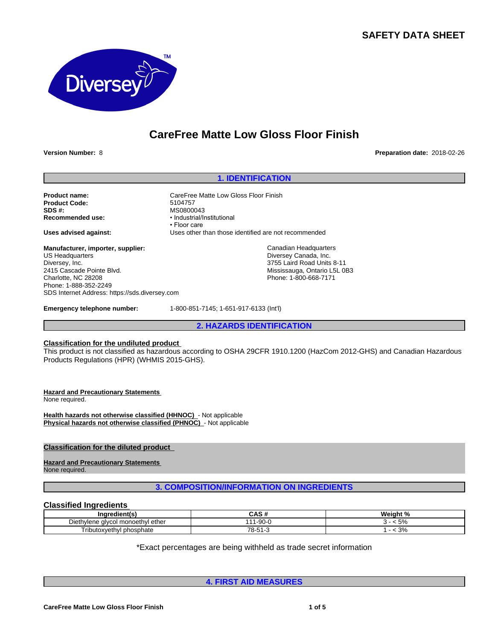# **SAFETY DATA SHEET**



# **CareFree Matte Low Gloss Floor Finish**

**Version Number:** 8 **Preparation date:** 2018-02-26

# **1. IDENTIFICATION**

**Product name:** CareFree Matte Low Gloss Floor Finish<br> **Product Code:** 5104757 **Product Code: SDS #:**<br> **Recommended use:**<br> **Recommended use:**<br> **e** Industrial/In

**Manufacturer, importer, supplier:** US Headquarters Diversey, Inc. 2415 Cascade Pointe Blvd. Charlotte, NC 28208 Phone: 1-888-352-2249 SDS Internet Address: https://sds.diversey.com

**Emergency telephone number:** 1-800-851-7145; 1-651-917-6133 (Int'l)

**Recommended use:** •Industrial/Institutional • Floor care **Uses advised against:** Uses other than those identified are not recommended

> Canadian Headquarters Diversey Canada, Inc. 3755 Laird Road Units 8-11 Mississauga, Ontario L5L 0B3 Phone: 1-800-668-7171

**2. HAZARDS IDENTIFICATION**

# **Classification for the undiluted product**

This product is not classified as hazardous according to OSHA 29CFR 1910.1200 (HazCom 2012-GHS) and Canadian Hazardous Products Regulations (HPR) (WHMIS 2015-GHS).

# **Hazard and Precautionary Statements**

None required.

**Health hazards not otherwise classified (HHNOC)** - Not applicable **Physical hazards not otherwise classified (PHNOC)** - Not applicable

# **Classification for the diluted product**

# **Hazard and Precautionary Statements**

None required.

# **3. COMPOSITION/INFORMATION ON INGREDIENTS**

## **Classified Ingredients**

| Indredient(s)                                      | $\ddot{\phantom{1}}$     | Weight<br>$\sim$ $\sim$<br>. . |
|----------------------------------------------------|--------------------------|--------------------------------|
| ether<br>∣ monoeth∖<br>Dieth<br>าviene<br>alvcol · | $\sim$<br>1 - U<br>.90-l | E <sub>0</sub><br>.J / 0       |
| $- \cdot$<br>ˈributoxvethvl<br>phosphate           | 70<br>.<br>$\cdot$       | $\Omega$<br><b>J</b> /0        |

\*Exact percentages are being withheld as trade secret information

**4. FIRST AID MEASURES**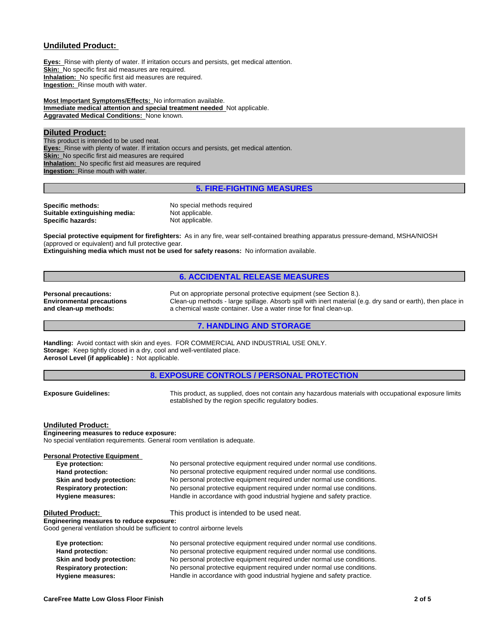# **Undiluted Product:**

**Eyes:** Rinse with plenty of water. If irritation occurs and persists, get medical attention. **Skin:** No specific first aid measures are required. **Inhalation:** No specific first aid measures are required. **Ingestion:** Rinse mouth with water.

**Most Important Symptoms/Effects:** No information available. **Immediate medical attention and special treatment needed** Not applicable. **Aggravated Medical Conditions:** None known.

# **Diluted Product:**

This product is intended to be used neat. **Eyes:** Rinse with plenty of water. If irritation occurs and persists, get medical attention. **Skin:** No specific first aid measures are required **Inhalation:** No specific first aid measures are required **Ingestion:** Rinse mouth with water.

# **5. FIRE-FIGHTING MEASURES**

**Specific methods:** No special methods required<br> **Suitable extinguishing media:** Not applicable. **Suitable extinguishing media:** Not applicable.<br> **Specific hazards:** Not applicable. **Specific hazards:** 

**Special protective equipment for firefighters:** As in any fire, wear self-contained breathing apparatus pressure-demand, MSHA/NIOSH (approved or equivalent) and full protective gear.

**Extinguishing media which must not be used for safety reasons:** No information available.

# **6. ACCIDENTAL RELEASE MEASURES**

**Environmental precautions and clean-up methods:**

**Personal precautions:** Put on appropriate personal protective equipment (see Section 8.). Clean-up methods - large spillage. Absorb spill with inert material (e.g. dry sand or earth), then place in a chemical waste container. Use a water rinse for final clean-up.

#### **7. HANDLING AND STORAGE**

**Handling:** Avoid contact with skin and eyes. FOR COMMERCIAL AND INDUSTRIAL USE ONLY. **Storage:** Keep tightly closed in a dry, cool and well-ventilated place. **Aerosol Level (if applicable) :** Not applicable.

## **8. EXPOSURE CONTROLS / PERSONAL PROTECTION**

**Exposure Guidelines:** This product, as supplied, does not contain any hazardous materials with occupational exposure limits established by the region specific regulatory bodies.

#### **Undiluted Product:**

**Engineering measures to reduce exposure:** No special ventilation requirements. General room ventilation is adequate.

| Personal Protective Equipment<br>Eye protection: | No personal protective equipment required under normal use conditions. |
|--------------------------------------------------|------------------------------------------------------------------------|
| Hand protection:                                 | No personal protective equipment required under normal use conditions. |
| Skin and body protection:                        | No personal protective equipment required under normal use conditions. |
| <b>Respiratory protection:</b>                   | No personal protective equipment required under normal use conditions. |
| <b>Hygiene measures:</b>                         | Handle in accordance with good industrial hygiene and safety practice. |

**Diluted Product:** This product is intended to be used neat.

**Engineering measures to reduce exposure:** Good general ventilation should be sufficient to control airborne levels

**Eye protection:** No personal protective equipment required under normal use conditions.<br> **Hand protection:** No personal protective equipment required under normal use conditions. **Hand protection:** No personal protective equipment required under normal use conditions. **Skin and body protection:** No personal protective equipment required under normal use conditions. **Respiratory protection:** No personal protective equipment required under normal use conditions. **Hygiene measures:** Handle in accordance with good industrial hygiene and safety practice.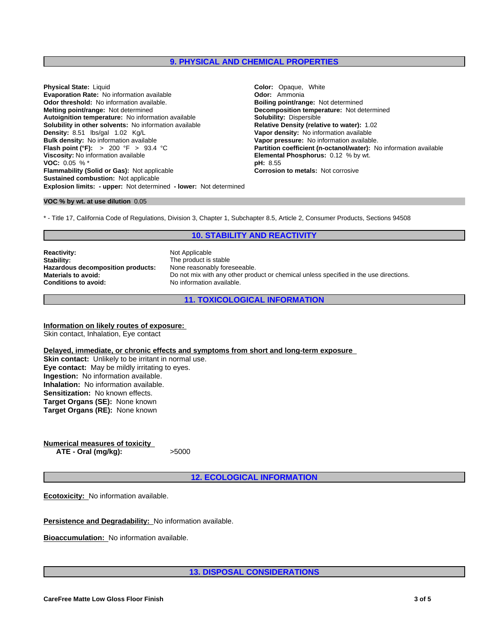# **9. PHYSICAL AND CHEMICAL PROPERTIES**

**Explosion limits: - upper:** Not determined **- lower:** Not determined **Physical State:** Liquid **Color:** *Color: Opaque, White*<br> **Evaporation Rate: No information available <b>Color: Ammonia Color: Ammonia Evaporation Rate:** No information available **Concernantial Concernantial Codor:** Ammonia<br> **Odor threshold:** No information available. **Concernantial Bolling point/range:** Not determined **Odor threshold:** No information available. **Melting point/range:** Not determined **Decomposition temperature:** Not determined **Autoiqnition temperature:** Not determined **Autoignition temperature:** No information available **Solubility:** Dispersible **Solubility in other solvents:** No information available **Density:** 8.51 **Ibs/gal** 1.02 **Kg/L Bulk density:** No information available **Vapor pressure:** No information available.<br> **Flash point (°F):** > 200 °F > 93.4 °C<br> **Partition coefficient (n-octanol/water):** N **Viscosity:** No information available **Elemental Phosphorus:** 0.12 % by wt.<br> **VOC:** 0.05 % \* **VOC: 0.05 % \* Flammability (Solid or Gas):** Not applicable **Corrosion to metals:** Not corrosive **Sustained combustion:** Not applicable

**Vapor density:** No information available **Partition coefficient (n-octanol/water):** No information available

#### **VOC % by wt. at use dilution** 0.05

\* - Title 17, California Code of Regulations, Division 3, Chapter 1, Subchapter 8.5, Article 2, Consumer Products, Sections 94508

# **10. STABILITY AND REACTIVITY**

**Reactivity:** Not Applicable **Stability:** The product is stable<br> **Hazardous decomposition products:** None reasonably foreseeable. **Hazardous decomposition products:**<br>Materials to avoid:

**Materials to avoid:** Do not mix with any other product or chemical unless specified in the use directions.<br> **Conditions to avoid:** No information available. No information available.

**11. TOXICOLOGICAL INFORMATION**

**Information on likely routes of exposure:** Skin contact, Inhalation, Eye contact

**Delayed, immediate, or chronic effects and symptoms from short and long-term exposure**

**Skin contact:** Unlikely to be irritant in normal use. **Eye contact:** May be mildly irritating to eyes. **Ingestion:** No information available. **Inhalation:** No information available. **Sensitization:** No known effects. **Target Organs (SE):** None known **Target Organs (RE):** None known

**Numerical measures of toxicity ATE - Oral (mg/kg):** >5000

**12. ECOLOGICAL INFORMATION**

**Ecotoxicity:** No information available.

**Persistence and Degradability:** No information available.

**Bioaccumulation:** No information available.

**13. DISPOSAL CONSIDERATIONS**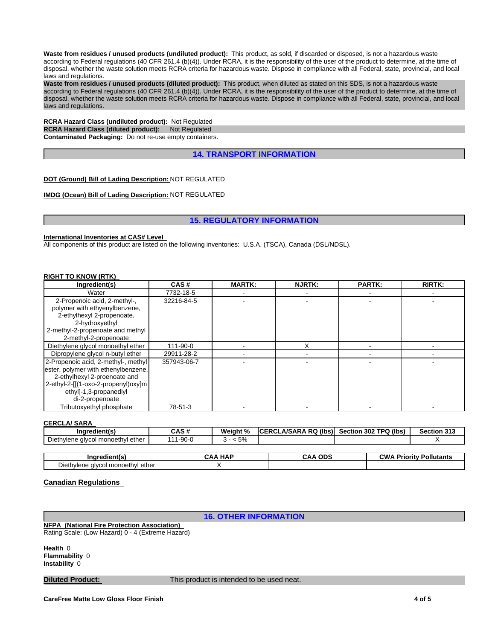**Waste from residues / unused products (undiluted product):** This product, as sold, if discarded or disposed, is not a hazardous waste according to Federal regulations (40 CFR 261.4 (b)(4)). Under RCRA, it is the responsibility of the user of the product to determine, at the time of disposal, whether the waste solution meets RCRA criteria for hazardous waste. Dispose in compliance with all Federal, state, provincial, and local laws and regulations.

**Waste from residues / unused products (diluted product):** This product, when diluted as stated on this SDS, is not a hazardous waste according to Federal regulations (40 CFR 261.4 (b)(4)). Under RCRA, it is the responsibility of the user of the product to determine, at the time of disposal, whether the waste solution meets RCRA criteria for hazardous waste. Dispose in compliance with all Federal, state, provincial, and local laws and regulations.

**RCRA Hazard Class (undiluted product):** Not Regulated **RCRA Hazard Class (diluted product): Not Regulated Contaminated Packaging:** Do not re-use empty containers.

# **14. TRANSPORT INFORMATION**

#### **DOT (Ground) Bill of Lading Description:** NOT REGULATED

**IMDG (Ocean) Bill of Lading Description:** NOT REGULATED

### **15. REGULATORY INFORMATION**

#### **International Inventories at CAS# Level**

All components of this product are listed on the following inventories: U.S.A. (TSCA), Canada (DSL/NDSL).

#### **RIGHT TO KNOW (RTK)**

| Ingredient(s)                                                                                                                                                                                  | CAS#        | <b>MARTK:</b> | <b>NJRTK:</b> | <b>PARTK:</b> | <b>RIRTK:</b> |
|------------------------------------------------------------------------------------------------------------------------------------------------------------------------------------------------|-------------|---------------|---------------|---------------|---------------|
| Water                                                                                                                                                                                          | 7732-18-5   |               |               |               |               |
| 2-Propenoic acid, 2-methyl-,<br>polymer with ethyenylbenzene,<br>2-ethylhexyl 2-propenoate,<br>2-hydroxyethyl<br>2-methyl-2-propenoate and methyl<br>2-methyl-2-propenoate                     | 32216-84-5  |               |               |               |               |
| Diethylene glycol monoethyl ether                                                                                                                                                              | 111-90-0    |               |               |               |               |
| Dipropylene glycol n-butyl ether                                                                                                                                                               | 29911-28-2  |               |               |               |               |
| 2-Propenoic acid, 2-methyl-, methyl<br>ester, polymer with ethenylbenzene,<br>2-ethylhexyl 2-proenoate and<br>2-ethyl-2-[[(1-oxo-2-propenyl)oxy]m<br>ethyl]-1,3-propanediyl<br>di-2-propenoate | 357943-06-7 |               |               |               |               |
| Tributoxyethyl phosphate                                                                                                                                                                       | 78-51-3     |               |               |               |               |

# **CERCLA/ SARA**

| <br>ıredient(s<br>- 110                 | CAS#   | Weight % | ERCLA/SARA RQ (Ibs)<br><b>ICERCI</b> | Section 302 TPQ (lbs) | <b>Section 313</b> |
|-----------------------------------------|--------|----------|--------------------------------------|-----------------------|--------------------|
| Diethylene glycol<br>Jl monoeth∨l ether | 1-90-0 | 5%<br>ີ  |                                      |                       |                    |
|                                         |        |          |                                      |                       |                    |
|                                         |        |          |                                      |                       |                    |

|                                           | <b>HAF</b> | <b>ODS</b> | Pollutants |
|-------------------------------------------|------------|------------|------------|
|                                           | ^^ ^       | . V V      | CW,        |
|                                           | ິ          | vn,        | Prioritv   |
| Diethylene<br>ether<br>e alvcol monoethvl |            |            |            |

## **Canadian Regulations**

# **16. OTHER INFORMATION**

**NFPA (National Fire Protection Association)**  Rating Scale: (Low Hazard) 0 - 4 (Extreme Hazard)

**Health** 0 **Flammability** 0 **Instability** 0

**Diluted Product:** This product is intended to be used neat.